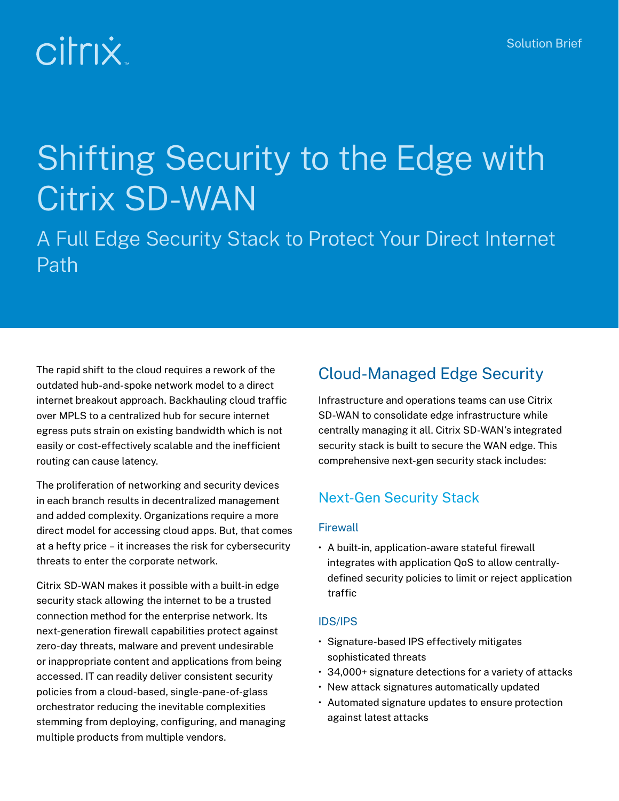# **Citrix**

# Shifting Security to the Edge with Citrix SD-WAN

A Full Edge Security Stack to Protect Your Direct Internet Path

The rapid shift to the cloud requires a rework of the outdated hub-and-spoke network model to a direct internet breakout approach. Backhauling cloud traffic over MPLS to a centralized hub for secure internet egress puts strain on existing bandwidth which is not easily or cost-effectively scalable and the inefficient routing can cause latency.

The proliferation of networking and security devices in each branch results in decentralized management and added complexity. Organizations require a more direct model for accessing cloud apps. But, that comes at a hefty price – it increases the risk for cybersecurity threats to enter the corporate network.

Citrix SD-WAN makes it possible with a built-in edge security stack allowing the internet to be a trusted connection method for the enterprise network. Its next-generation firewall capabilities protect against zero-day threats, malware and prevent undesirable or inappropriate content and applications from being accessed. IT can readily deliver consistent security policies from a cloud-based, single-pane-of-glass orchestrator reducing the inevitable complexities stemming from deploying, configuring, and managing multiple products from multiple vendors.

# Cloud-Managed Edge Security

Infrastructure and operations teams can use Citrix SD-WAN to consolidate edge infrastructure while centrally managing it all. Citrix SD-WAN's integrated security stack is built to secure the WAN edge. This comprehensive next-gen security stack includes:

## Next-Gen Security Stack

#### **Firewall**

• A built-in, application-aware stateful firewall integrates with application QoS to allow centrallydefined security policies to limit or reject application traffic

#### IDS/IPS

- Signature-based IPS effectively mitigates sophisticated threats
- 34,000+ signature detections for a variety of attacks
- New attack signatures automatically updated
- Automated signature updates to ensure protection against latest attacks